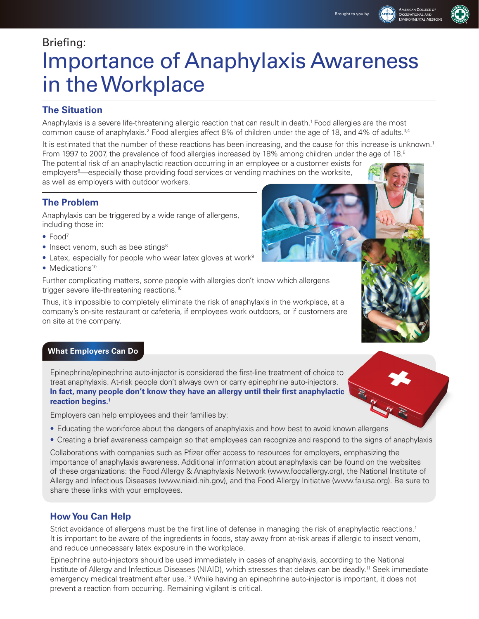# Briefing:

# Importance of Anaphylaxis Awareness in the Workplace

## **The Situation**

Anaphylaxis is a severe life-threatening allergic reaction that can result in death.1 Food allergies are the most common cause of anaphylaxis.<sup>2</sup> Food allergies affect 8% of children under the age of 18, and 4% of adults.<sup>3,4</sup>

It is estimated that the number of these reactions has been increasing, and the cause for this increase is unknown.<sup>1</sup> From 1997 to 2007, the prevalence of food allergies increased by 18% among children under the age of 18.<sup>5</sup> The potential risk of an anaphylactic reaction occurring in an employee or a customer exists for employers<sup>6</sup>—especially those providing food services or vending machines on the worksite, as well as employers with outdoor workers.

## **The Problem**

Anaphylaxis can be triggered by a wide range of allergens, including those in:

- Food<sup>7</sup>
- $\bullet$  Insect venom, such as bee stings<sup>8</sup>
- $\bullet$  Latex, especially for people who wear latex gloves at work<sup>9</sup>
- Medications<sup>10</sup>

Further complicating matters, some people with allergies don't know which allergens trigger severe life-threatening reactions.10

Thus, it's impossible to completely eliminate the risk of anaphylaxis in the workplace, at a company's on-site restaurant or cafeteria, if employees work outdoors, or if customers are on site at the company.

## **What Employers Can Do**

Epinephrine/epinephrine auto-injector is considered the first-line treatment of choice to treat anaphylaxis. At-risk people don't always own or carry epinephrine auto-injectors. **In fact, many people don't know they have an allergy until their first anaphylactic reaction begins.1**

Employers can help employees and their families by:

- Educating the workforce about the dangers of anaphylaxis and how best to avoid known allergens
- • Creating a brief awareness campaign so that employees can recognize and respond to the signs of anaphylaxis

Collaborations with companies such as Pfizer offer access to resources for employers, emphasizing the importance of anaphylaxis awareness. Additional information about anaphylaxis can be found on the websites of these organizations: the Food Allergy & Anaphylaxis Network (www.foodallergy.org), the National Institute of Allergy and Infectious Diseases (www.niaid.nih.gov), and the Food Allergy Initiative (www.faiusa.org). Be sure to share these links with your employees.

## **How You Can Help**

Strict avoidance of allergens must be the first line of defense in managing the risk of anaphylactic reactions.<sup>1</sup> It is important to be aware of the ingredients in foods, stay away from at-risk areas if allergic to insect venom, and reduce unnecessary latex exposure in the workplace.

Epinephrine auto-injectors should be used immediately in cases of anaphylaxis, according to the National Institute of Allergy and Infectious Diseases (NIAID), which stresses that delays can be deadly.11 Seek immediate emergency medical treatment after use.<sup>12</sup> While having an epinephrine auto-injector is important, it does not prevent a reaction from occurring. Remaining vigilant is critical.





American <mark>C</mark>ollege of<br>Dccupational and **VVIRONMENTAL MEDIC**